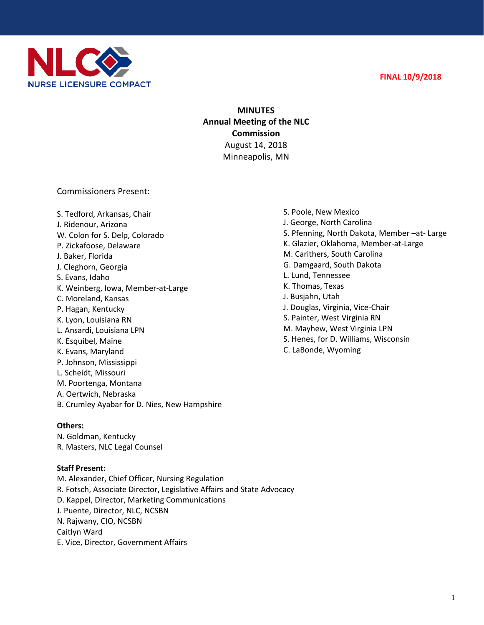



## **MINUTES Annual Meeting of the NLC Commission** August 14, 2018 Minneapolis, MN

Commissioners Present:

S. Tedford, Arkansas, Chair J. Ridenour, Arizona W. Colon for S. Delp, Colorado P. Zickafoose, Delaware J. Baker, Florida J. Cleghorn, Georgia S. Evans, Idaho K. Weinberg, Iowa, Member-at-Large C. Moreland, Kansas P. Hagan, Kentucky K. Lyon, Louisiana RN L. Ansardi, Louisiana LPN K. Esquibel, Maine K. Evans, Maryland P. Johnson, Mississippi L. Scheidt, Missouri M. Poortenga, Montana A. Oertwich, Nebraska B. Crumley Ayabar for D. Nies, New Hampshire

## **Others:**

N. Goldman, Kentucky R. Masters, NLC Legal Counsel

## **Staff Present:**

M. Alexander, Chief Officer, Nursing Regulation R. Fotsch, Associate Director, Legislative Affairs and State Advocacy D. Kappel, Director, Marketing Communications J. Puente, Director, NLC, NCSBN N. Rajwany, CIO, NCSBN Caitlyn Ward E. Vice, Director, Government Affairs

S. Poole, New Mexico J. George, North Carolina S. Pfenning, North Dakota, Member –at- Large K. Glazier, Oklahoma, Member-at-Large M. Carithers, South Carolina G. Damgaard, South Dakota L. Lund, Tennessee K. Thomas, Texas J. Busjahn, Utah J. Douglas, Virginia, Vice-Chair S. Painter, West Virginia RN M. Mayhew, West Virginia LPN S. Henes, for D. Williams, Wisconsin C. LaBonde, Wyoming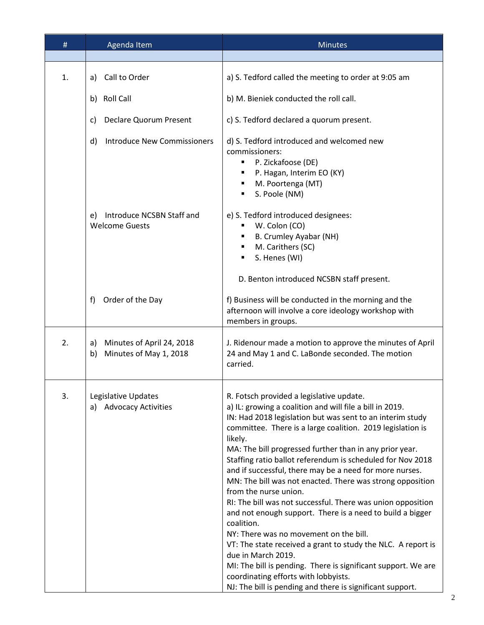| #  | Agenda Item                                                     | <b>Minutes</b>                                                                                                                                                                                                                                                                                                                                                                                                                                                                                                                                                                                                                                                                                                                                                                                                                                                                                                                                                       |
|----|-----------------------------------------------------------------|----------------------------------------------------------------------------------------------------------------------------------------------------------------------------------------------------------------------------------------------------------------------------------------------------------------------------------------------------------------------------------------------------------------------------------------------------------------------------------------------------------------------------------------------------------------------------------------------------------------------------------------------------------------------------------------------------------------------------------------------------------------------------------------------------------------------------------------------------------------------------------------------------------------------------------------------------------------------|
| 1. | a) Call to Order                                                | a) S. Tedford called the meeting to order at 9:05 am                                                                                                                                                                                                                                                                                                                                                                                                                                                                                                                                                                                                                                                                                                                                                                                                                                                                                                                 |
|    | b) Roll Call                                                    | b) M. Bieniek conducted the roll call.                                                                                                                                                                                                                                                                                                                                                                                                                                                                                                                                                                                                                                                                                                                                                                                                                                                                                                                               |
|    | <b>Declare Quorum Present</b><br>C)                             | c) S. Tedford declared a quorum present.                                                                                                                                                                                                                                                                                                                                                                                                                                                                                                                                                                                                                                                                                                                                                                                                                                                                                                                             |
|    | <b>Introduce New Commissioners</b><br>d)                        | d) S. Tedford introduced and welcomed new<br>commissioners:<br>P. Zickafoose (DE)<br>P. Hagan, Interim EO (KY)<br>M. Poortenga (MT)<br>S. Poole (NM)<br>٠                                                                                                                                                                                                                                                                                                                                                                                                                                                                                                                                                                                                                                                                                                                                                                                                            |
|    | Introduce NCSBN Staff and<br>e)<br><b>Welcome Guests</b>        | e) S. Tedford introduced designees:<br>W. Colon (CO)<br>B. Crumley Ayabar (NH)<br>M. Carithers (SC)<br>S. Henes (WI)                                                                                                                                                                                                                                                                                                                                                                                                                                                                                                                                                                                                                                                                                                                                                                                                                                                 |
|    |                                                                 | D. Benton introduced NCSBN staff present.                                                                                                                                                                                                                                                                                                                                                                                                                                                                                                                                                                                                                                                                                                                                                                                                                                                                                                                            |
|    | Order of the Day<br>f)                                          | f) Business will be conducted in the morning and the<br>afternoon will involve a core ideology workshop with<br>members in groups.                                                                                                                                                                                                                                                                                                                                                                                                                                                                                                                                                                                                                                                                                                                                                                                                                                   |
| 2. | Minutes of April 24, 2018<br>a)<br>Minutes of May 1, 2018<br>b) | J. Ridenour made a motion to approve the minutes of April<br>24 and May 1 and C. LaBonde seconded. The motion<br>carried.                                                                                                                                                                                                                                                                                                                                                                                                                                                                                                                                                                                                                                                                                                                                                                                                                                            |
| 3. | Legislative Updates<br>a) Advocacy Activities                   | R. Fotsch provided a legislative update.<br>a) IL: growing a coalition and will file a bill in 2019.<br>IN: Had 2018 legislation but was sent to an interim study<br>committee. There is a large coalition. 2019 legislation is<br>likely.<br>MA: The bill progressed further than in any prior year.<br>Staffing ratio ballot referendum is scheduled for Nov 2018<br>and if successful, there may be a need for more nurses.<br>MN: The bill was not enacted. There was strong opposition<br>from the nurse union.<br>RI: The bill was not successful. There was union opposition<br>and not enough support. There is a need to build a bigger<br>coalition.<br>NY: There was no movement on the bill.<br>VT: The state received a grant to study the NLC. A report is<br>due in March 2019.<br>MI: The bill is pending. There is significant support. We are<br>coordinating efforts with lobbyists.<br>NJ: The bill is pending and there is significant support. |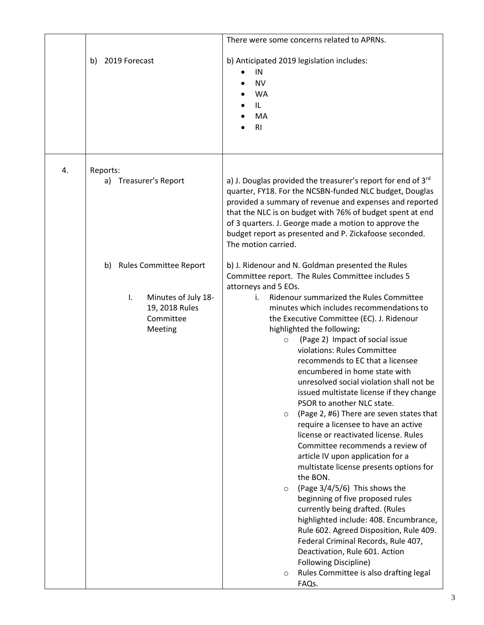|    |                                                                                                            | There were some concerns related to APRNs.                                                                                                                                                                                                                                                                                                                                                                                                                                                                                                                                                                                                                                                                                                                                                                                                                                                                                                                                                                                                                                                                                                                            |
|----|------------------------------------------------------------------------------------------------------------|-----------------------------------------------------------------------------------------------------------------------------------------------------------------------------------------------------------------------------------------------------------------------------------------------------------------------------------------------------------------------------------------------------------------------------------------------------------------------------------------------------------------------------------------------------------------------------------------------------------------------------------------------------------------------------------------------------------------------------------------------------------------------------------------------------------------------------------------------------------------------------------------------------------------------------------------------------------------------------------------------------------------------------------------------------------------------------------------------------------------------------------------------------------------------|
|    | 2019 Forecast<br>b)                                                                                        | b) Anticipated 2019 legislation includes:<br>IN<br><b>NV</b><br><b>WA</b><br>IL<br>MA<br>R <sub>l</sub>                                                                                                                                                                                                                                                                                                                                                                                                                                                                                                                                                                                                                                                                                                                                                                                                                                                                                                                                                                                                                                                               |
| 4. | Reports:                                                                                                   |                                                                                                                                                                                                                                                                                                                                                                                                                                                                                                                                                                                                                                                                                                                                                                                                                                                                                                                                                                                                                                                                                                                                                                       |
|    | a) Treasurer's Report                                                                                      | a) J. Douglas provided the treasurer's report for end of 3rd<br>quarter, FY18. For the NCSBN-funded NLC budget, Douglas<br>provided a summary of revenue and expenses and reported<br>that the NLC is on budget with 76% of budget spent at end<br>of 3 quarters. J. George made a motion to approve the<br>budget report as presented and P. Zickafoose seconded.<br>The motion carried.                                                                                                                                                                                                                                                                                                                                                                                                                                                                                                                                                                                                                                                                                                                                                                             |
|    | <b>Rules Committee Report</b><br>b)<br>Minutes of July 18-<br>I.<br>19, 2018 Rules<br>Committee<br>Meeting | b) J. Ridenour and N. Goldman presented the Rules<br>Committee report. The Rules Committee includes 5<br>attorneys and 5 EOs.<br>Ridenour summarized the Rules Committee<br>i.<br>minutes which includes recommendations to<br>the Executive Committee (EC). J. Ridenour<br>highlighted the following:<br>(Page 2) Impact of social issue<br>$\circ$<br>violations: Rules Committee<br>recommends to EC that a licensee<br>encumbered in home state with<br>unresolved social violation shall not be<br>issued multistate license if they change<br>PSOR to another NLC state.<br>(Page 2, #6) There are seven states that<br>$\circ$<br>require a licensee to have an active<br>license or reactivated license. Rules<br>Committee recommends a review of<br>article IV upon application for a<br>multistate license presents options for<br>the BON.<br>(Page 3/4/5/6) This shows the<br>$\circ$<br>beginning of five proposed rules<br>currently being drafted. (Rules<br>highlighted include: 408. Encumbrance,<br>Rule 602. Agreed Disposition, Rule 409.<br>Federal Criminal Records, Rule 407,<br>Deactivation, Rule 601. Action<br>Following Discipline)<br>O |
|    |                                                                                                            | Rules Committee is also drafting legal<br>FAQs.                                                                                                                                                                                                                                                                                                                                                                                                                                                                                                                                                                                                                                                                                                                                                                                                                                                                                                                                                                                                                                                                                                                       |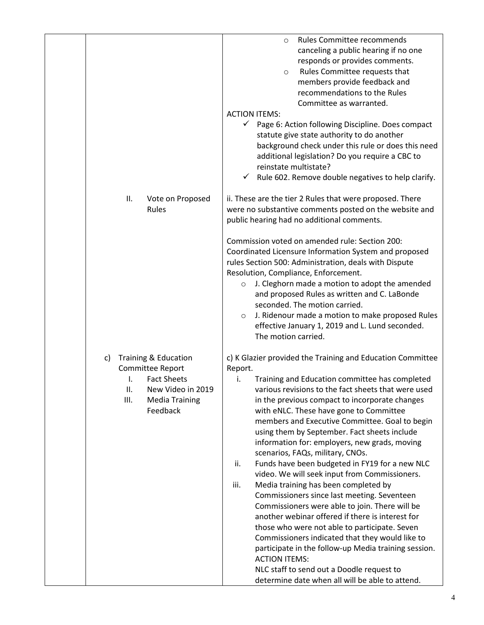|                                                                                                                                                     | Rules Committee recommends<br>$\circ$<br>canceling a public hearing if no one<br>responds or provides comments.<br>Rules Committee requests that<br>$\circ$<br>members provide feedback and<br>recommendations to the Rules<br>Committee as warranted.<br><b>ACTION ITEMS:</b><br>√ Page 6: Action following Discipline. Does compact<br>statute give state authority to do another<br>background check under this rule or does this need<br>additional legislation? Do you require a CBC to<br>reinstate multistate?<br>$\checkmark$ Rule 602. Remove double negatives to help clarify.                                                                                                                                                                                                                                                                                                                                                                                                                                                                                    |
|-----------------------------------------------------------------------------------------------------------------------------------------------------|-----------------------------------------------------------------------------------------------------------------------------------------------------------------------------------------------------------------------------------------------------------------------------------------------------------------------------------------------------------------------------------------------------------------------------------------------------------------------------------------------------------------------------------------------------------------------------------------------------------------------------------------------------------------------------------------------------------------------------------------------------------------------------------------------------------------------------------------------------------------------------------------------------------------------------------------------------------------------------------------------------------------------------------------------------------------------------|
| ΙΙ.<br>Vote on Proposed<br>Rules                                                                                                                    | ii. These are the tier 2 Rules that were proposed. There<br>were no substantive comments posted on the website and<br>public hearing had no additional comments.                                                                                                                                                                                                                                                                                                                                                                                                                                                                                                                                                                                                                                                                                                                                                                                                                                                                                                            |
|                                                                                                                                                     | Commission voted on amended rule: Section 200:<br>Coordinated Licensure Information System and proposed<br>rules Section 500: Administration, deals with Dispute<br>Resolution, Compliance, Enforcement.<br>J. Cleghorn made a motion to adopt the amended<br>$\circ$<br>and proposed Rules as written and C. LaBonde<br>seconded. The motion carried.<br>J. Ridenour made a motion to make proposed Rules<br>$\circ$<br>effective January 1, 2019 and L. Lund seconded.<br>The motion carried.                                                                                                                                                                                                                                                                                                                                                                                                                                                                                                                                                                             |
| Training & Education<br>c)<br>Committee Report<br><b>Fact Sheets</b><br>I.<br>New Video in 2019<br>ΙΙ.<br>III.<br><b>Media Training</b><br>Feedback | c) K Glazier provided the Training and Education Committee<br>Report.<br>Training and Education committee has completed<br>İ.<br>various revisions to the fact sheets that were used<br>in the previous compact to incorporate changes<br>with eNLC. These have gone to Committee<br>members and Executive Committee. Goal to begin<br>using them by September. Fact sheets include<br>information for: employers, new grads, moving<br>scenarios, FAQs, military, CNOs.<br>Funds have been budgeted in FY19 for a new NLC<br>ii.<br>video. We will seek input from Commissioners.<br>iii.<br>Media training has been completed by<br>Commissioners since last meeting. Seventeen<br>Commissioners were able to join. There will be<br>another webinar offered if there is interest for<br>those who were not able to participate. Seven<br>Commissioners indicated that they would like to<br>participate in the follow-up Media training session.<br><b>ACTION ITEMS:</b><br>NLC staff to send out a Doodle request to<br>determine date when all will be able to attend. |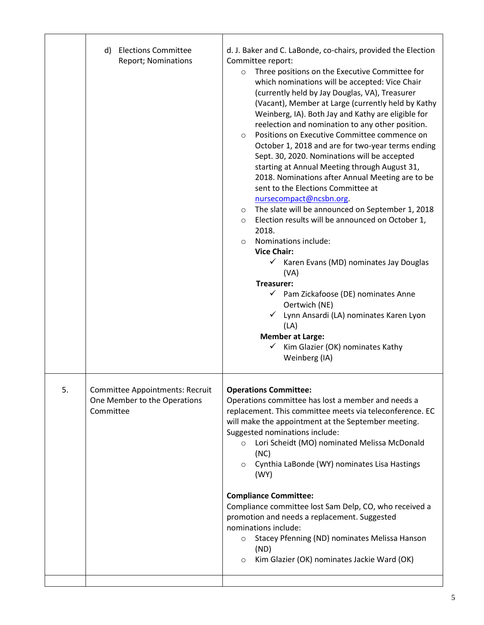|    |                                                                              | reelection and nomination to any other position.<br>Positions on Executive Committee commence on<br>$\circ$<br>October 1, 2018 and are for two-year terms ending<br>Sept. 30, 2020. Nominations will be accepted<br>starting at Annual Meeting through August 31,<br>2018. Nominations after Annual Meeting are to be<br>sent to the Elections Committee at<br>nursecompact@ncsbn.org.<br>The slate will be announced on September 1, 2018<br>$\circ$<br>Election results will be announced on October 1,<br>$\circ$<br>2018.<br>Nominations include:<br>$\circ$<br><b>Vice Chair:</b><br>$\checkmark$ Karen Evans (MD) nominates Jay Douglas<br>(VA)<br>Treasurer:<br>$\checkmark$ Pam Zickafoose (DE) nominates Anne<br>Oertwich (NE)<br>Lynn Ansardi (LA) nominates Karen Lyon<br>(LA)<br><b>Member at Large:</b><br>Kim Glazier (OK) nominates Kathy<br>Weinberg (IA) |
|----|------------------------------------------------------------------------------|---------------------------------------------------------------------------------------------------------------------------------------------------------------------------------------------------------------------------------------------------------------------------------------------------------------------------------------------------------------------------------------------------------------------------------------------------------------------------------------------------------------------------------------------------------------------------------------------------------------------------------------------------------------------------------------------------------------------------------------------------------------------------------------------------------------------------------------------------------------------------|
| 5. | Committee Appointments: Recruit<br>One Member to the Operations<br>Committee | <b>Operations Committee:</b><br>Operations committee has lost a member and needs a<br>replacement. This committee meets via teleconference. EC<br>will make the appointment at the September meeting.<br>Suggested nominations include:<br>Lori Scheidt (MO) nominated Melissa McDonald<br>$\circ$<br>(NC)<br>Cynthia LaBonde (WY) nominates Lisa Hastings<br>$\circ$<br>(WY)<br><b>Compliance Committee:</b><br>Compliance committee lost Sam Delp, CO, who received a<br>promotion and needs a replacement. Suggested<br>nominations include:<br>Stacey Pfenning (ND) nominates Melissa Hanson<br>$\circ$<br>(ND)<br>Kim Glazier (OK) nominates Jackie Ward (OK)<br>$\circ$                                                                                                                                                                                             |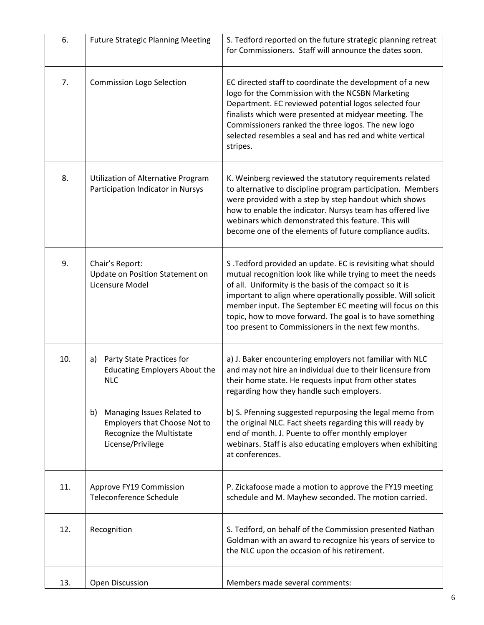| 6.  | <b>Future Strategic Planning Meeting</b>                                                                                                                         | S. Tedford reported on the future strategic planning retreat<br>for Commissioners. Staff will announce the dates soon.                                                                                                                                                                                                                                                                                                                   |
|-----|------------------------------------------------------------------------------------------------------------------------------------------------------------------|------------------------------------------------------------------------------------------------------------------------------------------------------------------------------------------------------------------------------------------------------------------------------------------------------------------------------------------------------------------------------------------------------------------------------------------|
| 7.  | <b>Commission Logo Selection</b>                                                                                                                                 | EC directed staff to coordinate the development of a new<br>logo for the Commission with the NCSBN Marketing<br>Department. EC reviewed potential logos selected four<br>finalists which were presented at midyear meeting. The<br>Commissioners ranked the three logos. The new logo<br>selected resembles a seal and has red and white vertical<br>stripes.                                                                            |
| 8.  | Utilization of Alternative Program<br>Participation Indicator in Nursys                                                                                          | K. Weinberg reviewed the statutory requirements related<br>to alternative to discipline program participation. Members<br>were provided with a step by step handout which shows<br>how to enable the indicator. Nursys team has offered live<br>webinars which demonstrated this feature. This will<br>become one of the elements of future compliance audits.                                                                           |
| 9.  | Chair's Report:<br>Update on Position Statement on<br>Licensure Model                                                                                            | S .Tedford provided an update. EC is revisiting what should<br>mutual recognition look like while trying to meet the needs<br>of all. Uniformity is the basis of the compact so it is<br>important to align where operationally possible. Will solicit<br>member input. The September EC meeting will focus on this<br>topic, how to move forward. The goal is to have something<br>too present to Commissioners in the next few months. |
| 10. | Party State Practices for<br>a)<br><b>Educating Employers About the</b><br><b>NLC</b><br>Managing Issues Related to<br>b)<br><b>Employers that Choose Not to</b> | a) J. Baker encountering employers not familiar with NLC<br>and may not hire an individual due to their licensure from<br>their home state. He requests input from other states<br>regarding how they handle such employers.<br>b) S. Pfenning suggested repurposing the legal memo from<br>the original NLC. Fact sheets regarding this will ready by                                                                                   |
|     | Recognize the Multistate<br>License/Privilege                                                                                                                    | end of month. J. Puente to offer monthly employer<br>webinars. Staff is also educating employers when exhibiting<br>at conferences.                                                                                                                                                                                                                                                                                                      |
| 11. | Approve FY19 Commission<br>Teleconference Schedule                                                                                                               | P. Zickafoose made a motion to approve the FY19 meeting<br>schedule and M. Mayhew seconded. The motion carried.                                                                                                                                                                                                                                                                                                                          |
| 12. | Recognition                                                                                                                                                      | S. Tedford, on behalf of the Commission presented Nathan<br>Goldman with an award to recognize his years of service to<br>the NLC upon the occasion of his retirement.                                                                                                                                                                                                                                                                   |
| 13. | Open Discussion                                                                                                                                                  | Members made several comments:                                                                                                                                                                                                                                                                                                                                                                                                           |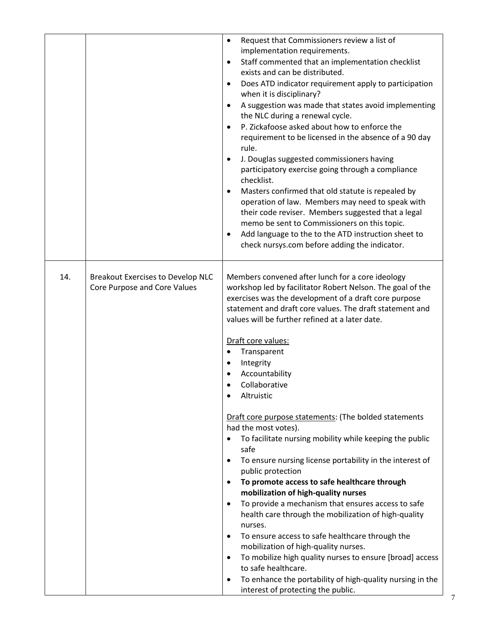|     |                                                                          | Request that Commissioners review a list of<br>$\bullet$<br>implementation requirements.<br>Staff commented that an implementation checklist<br>$\bullet$<br>exists and can be distributed.<br>Does ATD indicator requirement apply to participation<br>$\bullet$<br>when it is disciplinary?<br>A suggestion was made that states avoid implementing<br>$\bullet$<br>the NLC during a renewal cycle.<br>P. Zickafoose asked about how to enforce the<br>$\bullet$<br>requirement to be licensed in the absence of a 90 day<br>rule.<br>J. Douglas suggested commissioners having<br>$\bullet$<br>participatory exercise going through a compliance<br>checklist.<br>Masters confirmed that old statute is repealed by<br>$\bullet$<br>operation of law. Members may need to speak with<br>their code reviser. Members suggested that a legal<br>memo be sent to Commissioners on this topic.<br>Add language to the to the ATD instruction sheet to<br>$\bullet$<br>check nursys.com before adding the indicator.                                                                                                                                                                                                              |
|-----|--------------------------------------------------------------------------|---------------------------------------------------------------------------------------------------------------------------------------------------------------------------------------------------------------------------------------------------------------------------------------------------------------------------------------------------------------------------------------------------------------------------------------------------------------------------------------------------------------------------------------------------------------------------------------------------------------------------------------------------------------------------------------------------------------------------------------------------------------------------------------------------------------------------------------------------------------------------------------------------------------------------------------------------------------------------------------------------------------------------------------------------------------------------------------------------------------------------------------------------------------------------------------------------------------------------------|
| 14. | <b>Breakout Exercises to Develop NLC</b><br>Core Purpose and Core Values | Members convened after lunch for a core ideology<br>workshop led by facilitator Robert Nelson. The goal of the<br>exercises was the development of a draft core purpose<br>statement and draft core values. The draft statement and<br>values will be further refined at a later date.<br>Draft core values:<br>Transparent<br>$\bullet$<br>Integrity<br>٠<br>Accountability<br>Collaborative<br>Altruistic<br>Draft core purpose statements: (The bolded statements<br>had the most votes).<br>To facilitate nursing mobility while keeping the public<br>safe<br>To ensure nursing license portability in the interest of<br>$\bullet$<br>public protection<br>To promote access to safe healthcare through<br>$\bullet$<br>mobilization of high-quality nurses<br>To provide a mechanism that ensures access to safe<br>$\bullet$<br>health care through the mobilization of high-quality<br>nurses.<br>To ensure access to safe healthcare through the<br>$\bullet$<br>mobilization of high-quality nurses.<br>To mobilize high quality nurses to ensure [broad] access<br>$\bullet$<br>to safe healthcare.<br>To enhance the portability of high-quality nursing in the<br>$\bullet$<br>interest of protecting the public. |